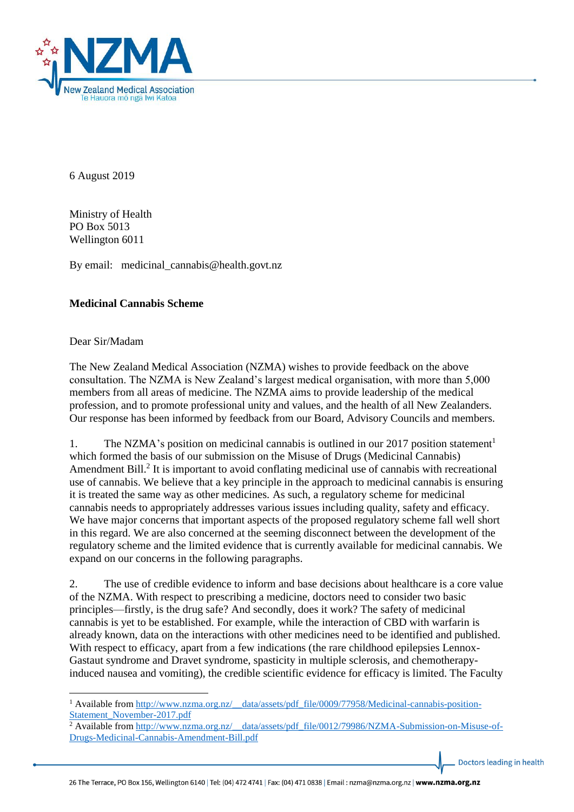

6 August 2019

Ministry of Health PO Box 5013 Wellington 6011

By email: medicinal\_cannabis@health.govt.nz

## **Medicinal Cannabis Scheme**

## Dear Sir/Madam

**.** 

The New Zealand Medical Association (NZMA) wishes to provide feedback on the above consultation. The NZMA is New Zealand's largest medical organisation, with more than 5,000 members from all areas of medicine. The NZMA aims to provide leadership of the medical profession, and to promote professional unity and values, and the health of all New Zealanders. Our response has been informed by feedback from our Board, Advisory Councils and members.

1. The NZMA's position on medicinal cannabis is outlined in our 2017 position statement<sup>1</sup> which formed the basis of our submission on the Misuse of Drugs (Medicinal Cannabis) Amendment Bill.<sup>2</sup> It is important to avoid conflating medicinal use of cannabis with recreational use of cannabis. We believe that a key principle in the approach to medicinal cannabis is ensuring it is treated the same way as other medicines. As such, a regulatory scheme for medicinal cannabis needs to appropriately addresses various issues including quality, safety and efficacy. We have major concerns that important aspects of the proposed regulatory scheme fall well short in this regard. We are also concerned at the seeming disconnect between the development of the regulatory scheme and the limited evidence that is currently available for medicinal cannabis. We expand on our concerns in the following paragraphs.

2. The use of credible evidence to inform and base decisions about healthcare is a core value of the NZMA. With respect to prescribing a medicine, doctors need to consider two basic principles—firstly, is the drug safe? And secondly, does it work? The safety of medicinal cannabis is yet to be established. For example, while the interaction of CBD with warfarin is already known, data on the interactions with other medicines need to be identified and published. With respect to efficacy, apart from a few indications (the rare childhood epilepsies Lennox-Gastaut syndrome and Dravet syndrome, spasticity in multiple sclerosis, and chemotherapyinduced nausea and vomiting), the credible scientific evidence for efficacy is limited. The Faculty

<sup>&</sup>lt;sup>1</sup> Available from [http://www.nzma.org.nz/\\_\\_data/assets/pdf\\_file/0009/77958/Medicinal-cannabis-position-](http://www.nzma.org.nz/__data/assets/pdf_file/0009/77958/Medicinal-cannabis-position-Statement_November-2017.pdf)[Statement\\_November-2017.pdf](http://www.nzma.org.nz/__data/assets/pdf_file/0009/77958/Medicinal-cannabis-position-Statement_November-2017.pdf)

<sup>&</sup>lt;sup>2</sup> Available from [http://www.nzma.org.nz/\\_\\_data/assets/pdf\\_file/0012/79986/NZMA-Submission-on-Misuse-of-](http://www.nzma.org.nz/__data/assets/pdf_file/0012/79986/NZMA-Submission-on-Misuse-of-Drugs-Medicinal-Cannabis-Amendment-Bill.pdf)[Drugs-Medicinal-Cannabis-Amendment-Bill.pdf](http://www.nzma.org.nz/__data/assets/pdf_file/0012/79986/NZMA-Submission-on-Misuse-of-Drugs-Medicinal-Cannabis-Amendment-Bill.pdf)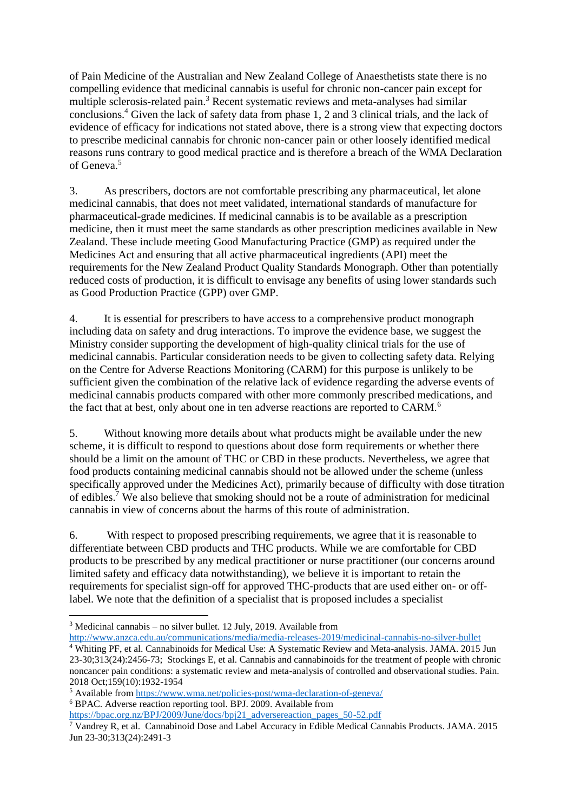of Pain Medicine of the Australian and New Zealand College of Anaesthetists state there is no compelling evidence that medicinal cannabis is useful for chronic non-cancer pain except for multiple sclerosis-related pain.<sup>3</sup> Recent systematic reviews and meta-analyses had similar conclusions. <sup>4</sup> Given the lack of safety data from phase 1, 2 and 3 clinical trials, and the lack of evidence of efficacy for indications not stated above, there is a strong view that expecting doctors to prescribe medicinal cannabis for chronic non-cancer pain or other loosely identified medical reasons runs contrary to good medical practice and is therefore a breach of the WMA Declaration of Geneva.<sup>5</sup>

3. As prescribers, doctors are not comfortable prescribing any pharmaceutical, let alone medicinal cannabis, that does not meet validated, international standards of manufacture for pharmaceutical-grade medicines. If medicinal cannabis is to be available as a prescription medicine, then it must meet the same standards as other prescription medicines available in New Zealand. These include meeting Good Manufacturing Practice (GMP) as required under the Medicines Act and ensuring that all active pharmaceutical ingredients (API) meet the requirements for the New Zealand Product Quality Standards Monograph. Other than potentially reduced costs of production, it is difficult to envisage any benefits of using lower standards such as Good Production Practice (GPP) over GMP.

4. It is essential for prescribers to have access to a comprehensive product monograph including data on safety and drug interactions. To improve the evidence base, we suggest the Ministry consider supporting the development of high-quality clinical trials for the use of medicinal cannabis. Particular consideration needs to be given to collecting safety data. Relying on the Centre for Adverse Reactions Monitoring (CARM) for this purpose is unlikely to be sufficient given the combination of the relative lack of evidence regarding the adverse events of medicinal cannabis products compared with other more commonly prescribed medications, and the fact that at best, only about one in ten adverse reactions are reported to CARM.<sup>6</sup>

5. Without knowing more details about what products might be available under the new scheme, it is difficult to respond to questions about dose form requirements or whether there should be a limit on the amount of THC or CBD in these products. Nevertheless, we agree that food products containing medicinal cannabis should not be allowed under the scheme (unless specifically approved under the Medicines Act), primarily because of difficulty with dose titration of edibles.<sup>7</sup> We also believe that smoking should not be a route of administration for medicinal cannabis in view of concerns about the harms of this route of administration.

6. With respect to proposed prescribing requirements, we agree that it is reasonable to differentiate between CBD products and THC products. While we are comfortable for CBD products to be prescribed by any medical practitioner or nurse practitioner (our concerns around limited safety and efficacy data notwithstanding), we believe it is important to retain the requirements for specialist sign-off for approved THC-products that are used either on- or offlabel. We note that the definition of a specialist that is proposed includes a specialist

1

<http://www.anzca.edu.au/communications/media/media-releases-2019/medicinal-cannabis-no-silver-bullet>

<sup>5</sup> Available from<https://www.wma.net/policies-post/wma-declaration-of-geneva/>

<sup>6</sup> BPAC. Adverse reaction reporting tool. BPJ. 2009. Available from

[https://bpac.org.nz/BPJ/2009/June/docs/bpj21\\_adversereaction\\_pages\\_50-52.pdf](https://bpac.org.nz/BPJ/2009/June/docs/bpj21_adversereaction_pages_50-52.pdf)

 $3$  Medicinal cannabis – no silver bullet. 12 July, 2019. Available from

<sup>&</sup>lt;sup>4</sup> Whiting PF, et al. Cannabinoids for Medical Use: A Systematic Review and Meta-analysis. JAMA. 2015 Jun 23-30;313(24):2456-73; Stockings E, et al. Cannabis and cannabinoids for the treatment of people with chronic noncancer pain conditions: a systematic review and meta-analysis of controlled and observational studies. Pain. 2018 Oct;159(10):1932-1954

<sup>7</sup> Vandrey R, et al. Cannabinoid Dose and Label Accuracy in Edible Medical Cannabis Products. JAMA. 2015 Jun 23-30;313(24):2491-3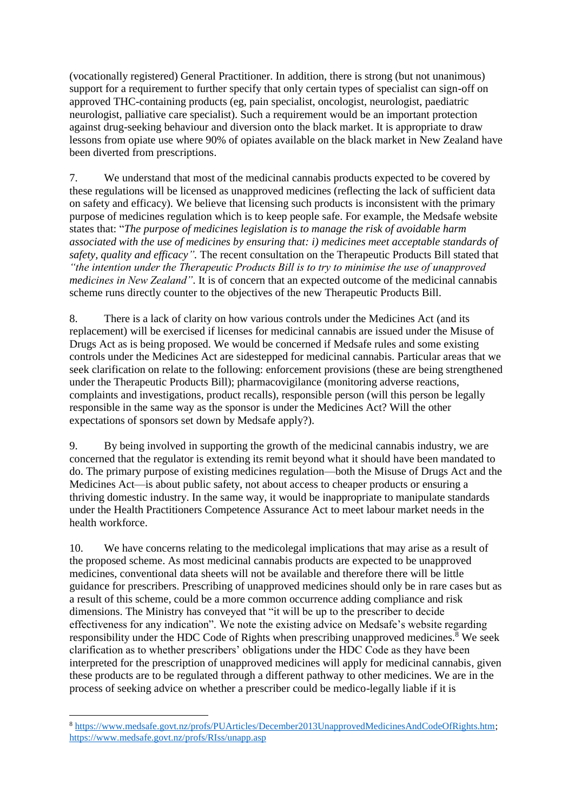(vocationally registered) General Practitioner. In addition, there is strong (but not unanimous) support for a requirement to further specify that only certain types of specialist can sign-off on approved THC-containing products (eg, pain specialist, oncologist, neurologist, paediatric neurologist, palliative care specialist). Such a requirement would be an important protection against drug-seeking behaviour and diversion onto the black market. It is appropriate to draw lessons from opiate use where 90% of opiates available on the black market in New Zealand have been diverted from prescriptions.

7. We understand that most of the medicinal cannabis products expected to be covered by these regulations will be licensed as unapproved medicines (reflecting the lack of sufficient data on safety and efficacy). We believe that licensing such products is inconsistent with the primary purpose of medicines regulation which is to keep people safe. For example, the Medsafe website states that: "*The purpose of medicines legislation is to manage the risk of avoidable harm associated with the use of medicines by ensuring that: i) medicines meet acceptable standards of safety, quality and efficacy".* The recent consultation on the Therapeutic Products Bill stated that *"the intention under the Therapeutic Products Bill is to try to minimise the use of unapproved medicines in New Zealand"*. It is of concern that an expected outcome of the medicinal cannabis scheme runs directly counter to the objectives of the new Therapeutic Products Bill.

8. There is a lack of clarity on how various controls under the Medicines Act (and its replacement) will be exercised if licenses for medicinal cannabis are issued under the Misuse of Drugs Act as is being proposed. We would be concerned if Medsafe rules and some existing controls under the Medicines Act are sidestepped for medicinal cannabis. Particular areas that we seek clarification on relate to the following: enforcement provisions (these are being strengthened under the Therapeutic Products Bill); pharmacovigilance (monitoring adverse reactions, complaints and investigations, product recalls), responsible person (will this person be legally responsible in the same way as the sponsor is under the Medicines Act? Will the other expectations of sponsors set down by Medsafe apply?).

9. By being involved in supporting the growth of the medicinal cannabis industry, we are concerned that the regulator is extending its remit beyond what it should have been mandated to do. The primary purpose of existing medicines regulation—both the Misuse of Drugs Act and the Medicines Act—is about public safety, not about access to cheaper products or ensuring a thriving domestic industry. In the same way, it would be inappropriate to manipulate standards under the Health Practitioners Competence Assurance Act to meet labour market needs in the health workforce.

10. We have concerns relating to the medicolegal implications that may arise as a result of the proposed scheme. As most medicinal cannabis products are expected to be unapproved medicines, conventional data sheets will not be available and therefore there will be little guidance for prescribers. Prescribing of unapproved medicines should only be in rare cases but as a result of this scheme, could be a more common occurrence adding compliance and risk dimensions. The Ministry has conveyed that "it will be up to the prescriber to decide effectiveness for any indication". We note the existing advice on Medsafe's website regarding responsibility under the HDC Code of Rights when prescribing unapproved medicines.<sup>8</sup> We seek clarification as to whether prescribers' obligations under the HDC Code as they have been interpreted for the prescription of unapproved medicines will apply for medicinal cannabis, given these products are to be regulated through a different pathway to other medicines. We are in the process of seeking advice on whether a prescriber could be medico-legally liable if it is

1

<sup>8</sup> [https://www.medsafe.govt.nz/profs/PUArticles/December2013UnapprovedMedicinesAndCodeOfRights.htm;](https://www.medsafe.govt.nz/profs/PUArticles/December2013UnapprovedMedicinesAndCodeOfRights.htm) <https://www.medsafe.govt.nz/profs/RIss/unapp.asp>